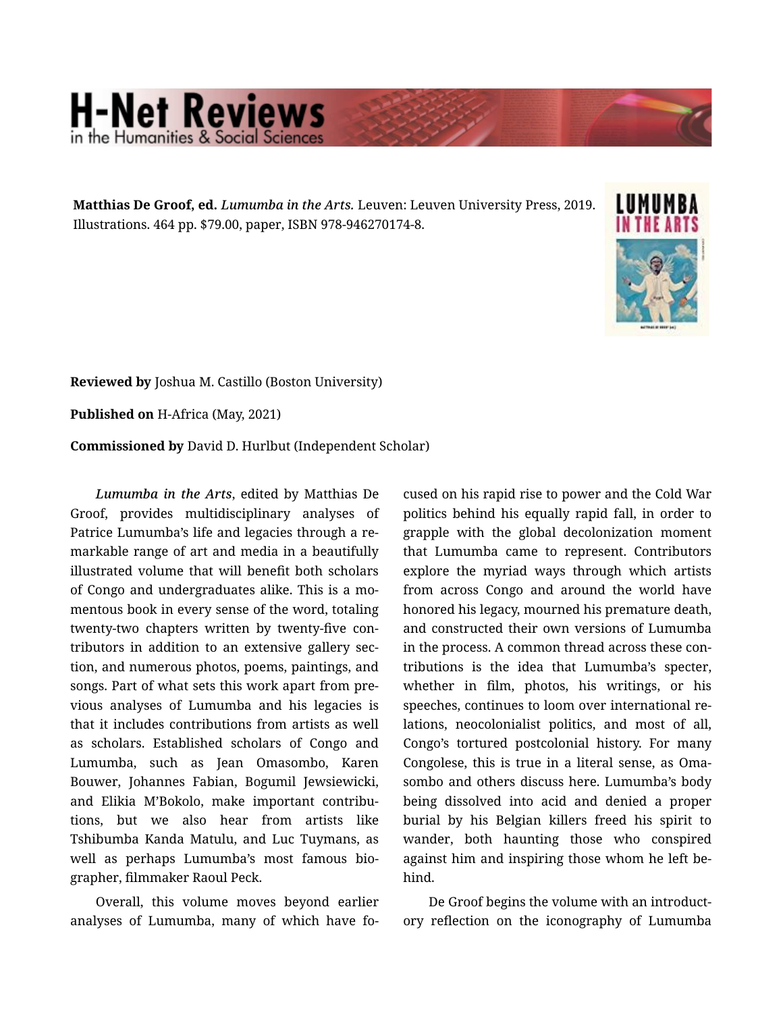## **H-Net Reviews** in the Humanities & Social Scier

Matthias De Groof, ed. *Lumumba in the Arts.* Leuven: Leuven University Press, 2019. Illustrations. 464 pp. \$79.00, paper, ISBN 978-946270174-8.



Reviewed by Joshua M. Castillo (Boston University)

Published on H-Africa (May, 2021)

Commissioned by David D. Hurlbut (Independent Scholar)

*Lumumba in the Arts*, edited by Matthias De Groof, provides multidisciplinary analyses of Patrice Lumumba's life and legacies through a re‐ markable range of art and media in a beautifully illustrated volume that will benefit both scholars of Congo and undergraduates alike. This is a mo‐ mentous book in every sense of the word, totaling twenty-two chapters written by twenty-five con‐ tributors in addition to an extensive gallery sec‐ tion, and numerous photos, poems, paintings, and songs. Part of what sets this work apart from pre‐ vious analyses of Lumumba and his legacies is that it includes contributions from artists as well as scholars. Established scholars of Congo and Lumumba, such as Jean Omasombo, Karen Bouwer, Johannes Fabian, Bogumil Jewsiewicki, and Elikia M'Bokolo, make important contribu‐ tions, but we also hear from artists like Tshibumba Kanda Matulu, and Luc Tuymans, as well as perhaps Lumumba's most famous bio‐ grapher, filmmaker Raoul Peck.

Overall, this volume moves beyond earlier analyses of Lumumba, many of which have fo‐

cused on his rapid rise to power and the Cold War politics behind his equally rapid fall, in order to grapple with the global decolonization moment that Lumumba came to represent. Contributors explore the myriad ways through which artists from across Congo and around the world have honored his legacy, mourned his premature death, and constructed their own versions of Lumumba in the process. A common thread across these contributions is the idea that Lumumba's specter, whether in film, photos, his writings, or his speeches, continues to loom over international re‐ lations, neocolonialist politics, and most of all, Congo's tortured postcolonial history. For many Congolese, this is true in a literal sense, as Oma‐ sombo and others discuss here. Lumumba's body being dissolved into acid and denied a proper burial by his Belgian killers freed his spirit to wander, both haunting those who conspired against him and inspiring those whom he left be‐ hind.

De Groof begins the volume with an introduct‐ ory reflection on the iconography of Lumumba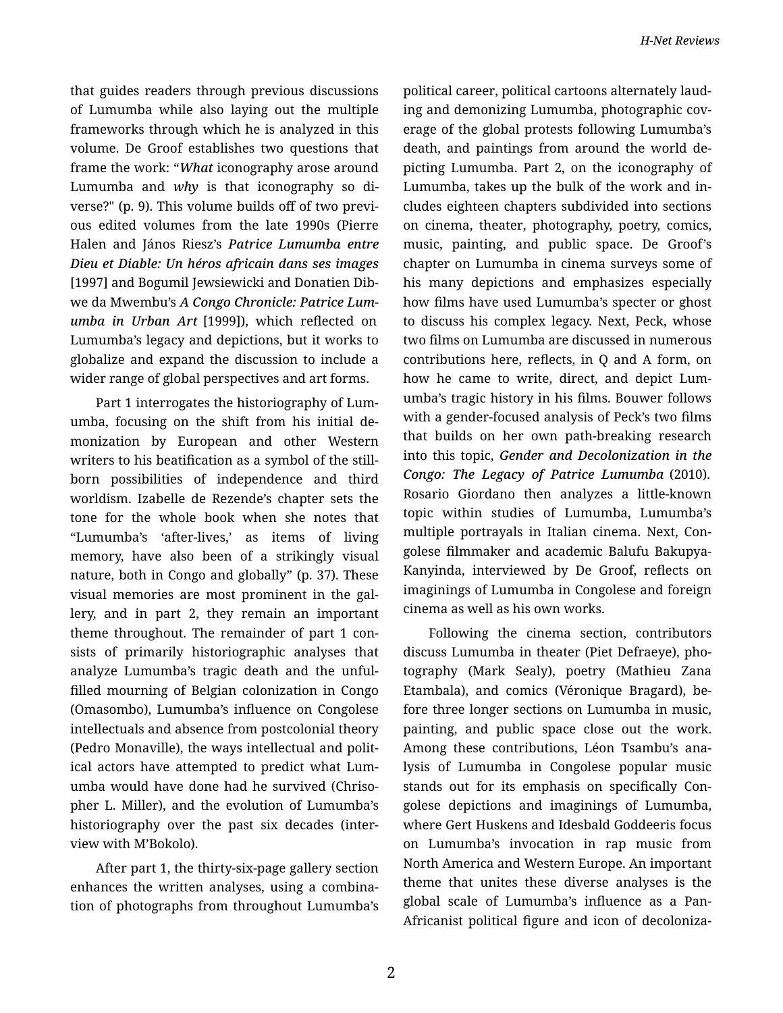that guides readers through previous discussions of Lumumba while also laying out the multiple frameworks through which he is analyzed in this volume. De Groof establishes two questions that frame the work: "*What* iconography arose around Lumumba and *why* is that iconography so di‐ verse?" (p. 9). This volume builds off of two previ‐ ous edited volumes from the late 1990s (Pierre Halen and János Riesz's *Patrice Lumumba entre Dieu et Diable: Un héros africain dans ses images* [1997] and Bogumil Jewsiewicki and Donatien Dib‐ we da Mwembu's *A Congo Chronicle: Patrice Lum‐ umba in Urban Art* [1999]), which reflected on Lumumba's legacy and depictions, but it works to globalize and expand the discussion to include a wider range of global perspectives and art forms.

Part 1 interrogates the historiography of Lum‐ umba, focusing on the shift from his initial de‐ monization by European and other Western writers to his beatification as a symbol of the stillborn possibilities of independence and third worldism. Izabelle de Rezende's chapter sets the tone for the whole book when she notes that "Lumumba's 'after-lives,' as items of living memory, have also been of a strikingly visual nature, both in Congo and globally" (p. 37). These visual memories are most prominent in the gal‐ lery, and in part 2, they remain an important theme throughout. The remainder of part 1 con‐ sists of primarily historiographic analyses that analyze Lumumba's tragic death and the unful‐ filled mourning of Belgian colonization in Congo (Omasombo), Lumumba's influence on Congolese intellectuals and absence from postcolonial theory (Pedro Monaville), the ways intellectual and polit‐ ical actors have attempted to predict what Lum‐ umba would have done had he survived (Chriso‐ pher L. Miller), and the evolution of Lumumba's historiography over the past six decades (inter‐ view with M'Bokolo).

After part 1, the thirty-six-page gallery section enhances the written analyses, using a combina‐ tion of photographs from throughout Lumumba's political career, political cartoons alternately laud‐ ing and demonizing Lumumba, photographic cov‐ erage of the global protests following Lumumba's death, and paintings from around the world de‐ picting Lumumba. Part 2, on the iconography of Lumumba, takes up the bulk of the work and in‐ cludes eighteen chapters subdivided into sections on cinema, theater, photography, poetry, comics, music, painting, and public space. De Groof's chapter on Lumumba in cinema surveys some of his many depictions and emphasizes especially how films have used Lumumba's specter or ghost to discuss his complex legacy. Next, Peck, whose two films on Lumumba are discussed in numerous contributions here, reflects, in Q and A form, on how he came to write, direct, and depict Lum‐ umba's tragic history in his films. Bouwer follows with a gender-focused analysis of Peck's two films that builds on her own path-breaking research into this topic, *Gender and Decolonization in the Congo: The Legacy of Patrice Lumumba* (2010). Rosario Giordano then analyzes a little-known topic within studies of Lumumba, Lumumba's multiple portrayals in Italian cinema. Next, Con‐ golese filmmaker and academic Balufu Bakupya-Kanyinda, interviewed by De Groof, reflects on imaginings of Lumumba in Congolese and foreign cinema as well as his own works.

Following the cinema section, contributors discuss Lumumba in theater (Piet Defraeye), pho‐ tography (Mark Sealy), poetry (Mathieu Zana Etambala), and comics (Véronique Bragard), be‐ fore three longer sections on Lumumba in music, painting, and public space close out the work. Among these contributions, Léon Tsambu's ana‐ lysis of Lumumba in Congolese popular music stands out for its emphasis on specifically Con‐ golese depictions and imaginings of Lumumba, where Gert Huskens and Idesbald Goddeeris focus on Lumumba's invocation in rap music from North America and Western Europe. An important theme that unites these diverse analyses is the global scale of Lumumba's influence as a Pan-Africanist political figure and icon of decoloniza‐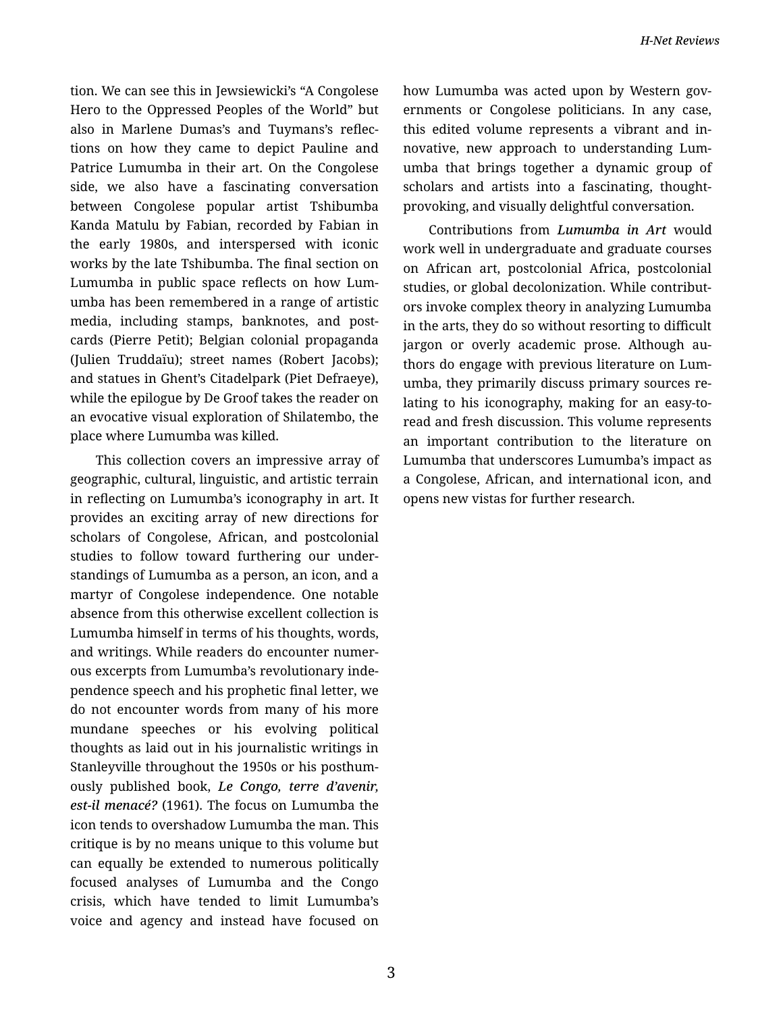tion. We can see this in Jewsiewicki's "A Congolese Hero to the Oppressed Peoples of the World" but also in Marlene Dumas's and Tuymans's reflec‐ tions on how they came to depict Pauline and Patrice Lumumba in their art. On the Congolese side, we also have a fascinating conversation between Congolese popular artist Tshibumba Kanda Matulu by Fabian, recorded by Fabian in the early 1980s, and interspersed with iconic works by the late Tshibumba. The final section on Lumumba in public space reflects on how Lum‐ umba has been remembered in a range of artistic media, including stamps, banknotes, and post‐ cards (Pierre Petit); Belgian colonial propaganda (Julien Truddaïu); street names (Robert Jacobs); and statues in Ghent's Citadelpark (Piet Defraeye), while the epilogue by De Groof takes the reader on an evocative visual exploration of Shilatembo, the place where Lumumba was killed.

This collection covers an impressive array of geographic, cultural, linguistic, and artistic terrain in reflecting on Lumumba's iconography in art. It provides an exciting array of new directions for scholars of Congolese, African, and postcolonial studies to follow toward furthering our under‐ standings of Lumumba as a person, an icon, and a martyr of Congolese independence. One notable absence from this otherwise excellent collection is Lumumba himself in terms of his thoughts, words, and writings. While readers do encounter numer‐ ous excerpts from Lumumba's revolutionary inde‐ pendence speech and his prophetic final letter, we do not encounter words from many of his more mundane speeches or his evolving political thoughts as laid out in his journalistic writings in Stanleyville throughout the 1950s or his posthum‐ ously published book, *Le Congo, terre d'avenir, est-il menacé?* (1961). The focus on Lumumba the icon tends to overshadow Lumumba the man. This critique is by no means unique to this volume but can equally be extended to numerous politically focused analyses of Lumumba and the Congo crisis, which have tended to limit Lumumba's voice and agency and instead have focused on how Lumumba was acted upon by Western gov‐ ernments or Congolese politicians. In any case, this edited volume represents a vibrant and in‐ novative, new approach to understanding Lum‐ umba that brings together a dynamic group of scholars and artists into a fascinating, thoughtprovoking, and visually delightful conversation.

Contributions from *Lumumba in Art* would work well in undergraduate and graduate courses on African art, postcolonial Africa, postcolonial studies, or global decolonization. While contribut‐ ors invoke complex theory in analyzing Lumumba in the arts, they do so without resorting to difficult jargon or overly academic prose. Although authors do engage with previous literature on Lum‐ umba, they primarily discuss primary sources re‐ lating to his iconography, making for an easy-toread and fresh discussion. This volume represents an important contribution to the literature on Lumumba that underscores Lumumba's impact as a Congolese, African, and international icon, and opens new vistas for further research.